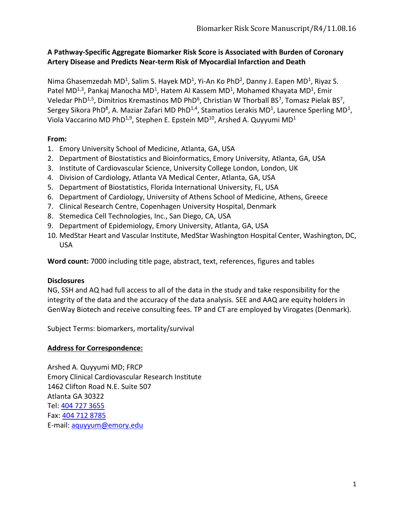## **A Pathway-Specific Aggregate Biomarker Risk Score is Associated with Burden of Coronary Artery Disease and Predicts Near-term Risk of Myocardial Infarction and Death**

Nima Ghasemzedah MD<sup>1</sup>, Salim S. Hayek MD<sup>1</sup>, Yi-An Ko PhD<sup>2</sup>, Danny J. Eapen MD<sup>1</sup>, Riyaz S. Patel MD<sup>1,3</sup>, Pankaj Manocha MD<sup>1</sup>, Hatem Al Kassem MD<sup>1</sup>, Mohamed Khayata MD<sup>1</sup>, Emir Veledar PhD<sup>1,5</sup>, Dimitrios Kremastinos MD PhD<sup>6</sup>, Christian W Thorball BS<sup>7</sup>, Tomasz Pielak BS<sup>7</sup>, Sergey Sikora PhD<sup>8</sup>, A. Maziar Zafari MD PhD<sup>1,4</sup>, Stamatios Lerakis MD<sup>1</sup>, Laurence Sperling MD<sup>1</sup>, Viola Vaccarino MD PhD<sup>1,9</sup>, Stephen E. Epstein MD<sup>10</sup>, Arshed A. Quyyumi MD<sup>1</sup>

## **From:**

- 1. Emory University School of Medicine, Atlanta, GA, USA
- 2. Department of Biostatistics and Bioinformatics, Emory University, Atlanta, GA, USA
- 3. Institute of Cardiovascular Science, University College London, London, UK
- 4. Division of Cardiology, Atlanta VA Medical Center, Atlanta, GA, USA
- 5. Department of Biostatistics, Florida International University, FL, USA
- 6. Department of Cardiology, University of Athens School of Medicine, Athens, Greece
- 7. Clinical Research Centre, Copenhagen University Hospital, Denmark
- 8. Stemedica Cell Technologies, Inc., San Diego, CA, USA
- 9. Department of Epidemiology, Emory University, Atlanta, GA, USA
- 10. MedStar Heart and Vascular Institute, MedStar Washington Hospital Center, Washington, DC, USA

**Word count:** 7000 including title page, abstract, text, references, figures and tables

## **Disclosures**

NG, SSH and AQ had full access to all of the data in the study and take responsibility for the integrity of the data and the accuracy of the data analysis. SEE and AAQ are equity holders in GenWay Biotech and receive consulting fees. TP and CT are employed by Virogates (Denmark).

Subject Terms: biomarkers, mortality/survival

## **Address for Correspondence:**

Arshed A. Quyyumi MD; FRCP Emory Clinical Cardiovascular Research Institute 1462 Clifton Road N.E. Suite 507 Atlanta GA 30322 Tel: [404 727 3655](tel:404%20727%203655) Fax: [404 712 8785](tel:404%20712%208785) E-mail: [aquyyum@emory.edu](mailto:aquyyum@emory.edu)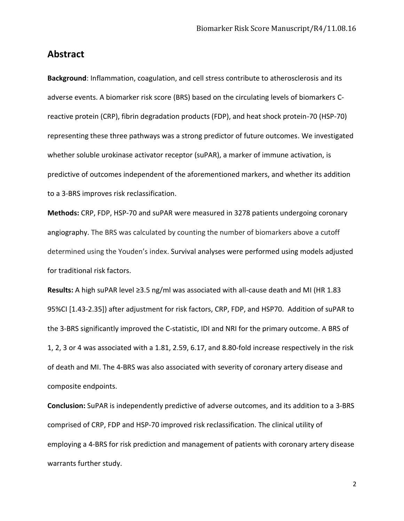# **Abstract**

**Background**: Inflammation, coagulation, and cell stress contribute to atherosclerosis and its adverse events. A biomarker risk score (BRS) based on the circulating levels of biomarkers Creactive protein (CRP), fibrin degradation products (FDP), and heat shock protein-70 (HSP-70) representing these three pathways was a strong predictor of future outcomes. We investigated whether soluble urokinase activator receptor (suPAR), a marker of immune activation, is predictive of outcomes independent of the aforementioned markers, and whether its addition to a 3-BRS improves risk reclassification.

**Methods:** CRP, FDP, HSP-70 and suPAR were measured in 3278 patients undergoing coronary angiography. The BRS was calculated by counting the number of biomarkers above a cutoff determined using the Youden's index. Survival analyses were performed using models adjusted for traditional risk factors.

**Results:** A high suPAR level ≥3.5 ng/ml was associated with all-cause death and MI (HR 1.83 95%CI [1.43-2.35]) after adjustment for risk factors, CRP, FDP, and HSP70. Addition of suPAR to the 3-BRS significantly improved the C-statistic, IDI and NRI for the primary outcome. A BRS of 1, 2, 3 or 4 was associated with a 1.81, 2.59, 6.17, and 8.80-fold increase respectively in the risk of death and MI. The 4-BRS was also associated with severity of coronary artery disease and composite endpoints.

**Conclusion:** SuPAR is independently predictive of adverse outcomes, and its addition to a 3-BRS comprised of CRP, FDP and HSP-70 improved risk reclassification. The clinical utility of employing a 4-BRS for risk prediction and management of patients with coronary artery disease warrants further study.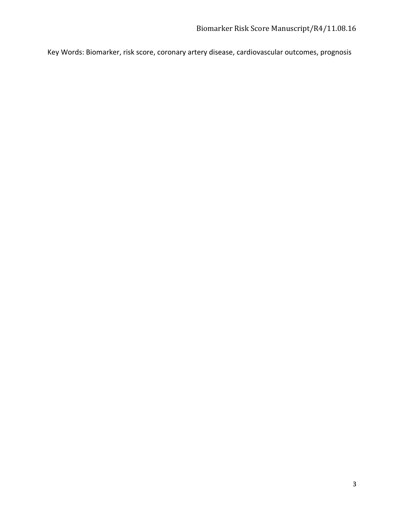Key Words: Biomarker, risk score, coronary artery disease, cardiovascular outcomes, prognosis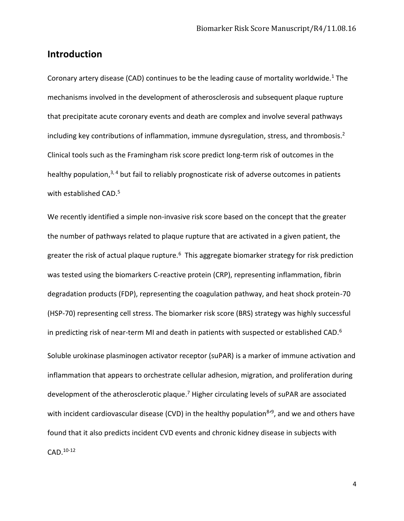# **Introduction**

Coronary artery disease (CAD) continues to be the leading cause of mortality worldwide.<sup>[1](#page-15-0)</sup> The mechanisms involved in the development of atherosclerosis and subsequent plaque rupture that precipitate acute coronary events and death are complex and involve several pathways including key contributions of inflammation, immune dysregulation, stress, and thrombosis. [2](#page-16-0) Clinical tools such as the Framingham risk score predict long-term risk of outcomes in the healthy population,<sup>[3,](#page-16-1) [4](#page-16-2)</sup> but fail to reliably prognosticate risk of adverse outcomes in patients with established CAD.<sup>[5](#page-16-3)</sup>

We recently identified a simple non-invasive risk score based on the concept that the greater the number of pathways related to plaque rupture that are activated in a given patient, the greater the risk of actual plaque rupture.<sup>[6](#page-16-4)</sup> This aggregate biomarker strategy for risk prediction was tested using the biomarkers C-reactive protein (CRP), representing inflammation, fibrin degradation products (FDP), representing the coagulation pathway, and heat shock protein-70 (HSP-70) representing cell stress. The biomarker risk score (BRS) strategy was highly successful in predicting risk of near-term MI and death in patients with suspected or established CAD.<sup>[6](#page-16-4)</sup> Soluble urokinase plasminogen activator receptor (suPAR) is a marker of immune activation and inflammation that appears to orchestrate cellular adhesion, migration, and proliferation during development of the atherosclerotic plaque.<sup>[7](#page-16-5)</sup> Higher circulating levels of suPAR are associated with incident cardiovascular disease (CVD) in the healthy population<sup>[8](#page-17-0)1[9](#page-17-1)</sup>, and we and others have found that it also predicts incident CVD events and chronic kidney disease in subjects with CAD. [10-12](#page-17-2)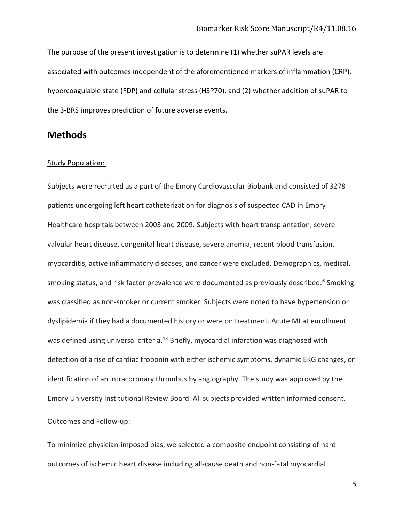The purpose of the present investigation is to determine (1) whether suPAR levels are associated with outcomes independent of the aforementioned markers of inflammation (CRP), hypercoagulable state (FDP) and cellular stress (HSP70), and (2) whether addition of suPAR to the 3-BRS improves prediction of future adverse events.

# **Methods**

#### Study Population:

Subjects were recruited as a part of the Emory Cardiovascular Biobank and consisted of 3278 patients undergoing left heart catheterization for diagnosis of suspected CAD in Emory Healthcare hospitals between 2003 and 2009. Subjects with heart transplantation, severe valvular heart disease, congenital heart disease, severe anemia, recent blood transfusion, myocarditis, active inflammatory diseases, and cancer were excluded. Demographics, medical, smoking status, and risk factor prevalence were documented as previously described.<sup>[6](#page-16-4)</sup> Smoking was classified as non-smoker or current smoker. Subjects were noted to have hypertension or dyslipidemia if they had a documented history or were on treatment. Acute MI at enrollment was defined using universal criteria.<sup>[13](#page-18-0)</sup> Briefly, myocardial infarction was diagnosed with detection of a rise of cardiac troponin with either ischemic symptoms, dynamic EKG changes, or identification of an intracoronary thrombus by angiography. The study was approved by the Emory University Institutional Review Board. All subjects provided written informed consent.

#### Outcomes and Follow-up:

To minimize physician-imposed bias, we selected a composite endpoint consisting of hard outcomes of ischemic heart disease including all-cause death and non-fatal myocardial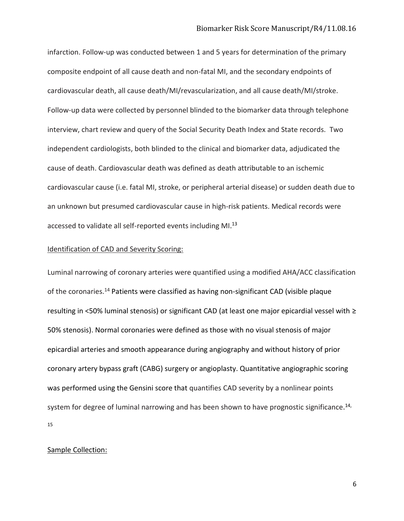infarction. Follow-up was conducted between 1 and 5 years for determination of the primary composite endpoint of all cause death and non-fatal MI, and the secondary endpoints of cardiovascular death, all cause death/MI/revascularization, and all cause death/MI/stroke. Follow-up data were collected by personnel blinded to the biomarker data through telephone interview, chart review and query of the Social Security Death Index and State records. Two independent cardiologists, both blinded to the clinical and biomarker data, adjudicated the cause of death. Cardiovascular death was defined as death attributable to an ischemic cardiovascular cause (i.e. fatal MI, stroke, or peripheral arterial disease) or sudden death due to an unknown but presumed cardiovascular cause in high-risk patients. Medical records were accessed to validate all self-reported events including MI.<sup>[13](#page-18-0)</sup>

### Identification of CAD and Severity Scoring:

Luminal narrowing of coronary arteries were quantified using a modified AHA/ACC classification of the coronaries.[14](#page-18-1) Patients were classified as having non-significant CAD (visible plaque resulting in <50% luminal stenosis) or significant CAD (at least one major epicardial vessel with ≥ 50% stenosis). Normal coronaries were defined as those with no visual stenosis of major epicardial arteries and smooth appearance during angiography and without history of prior coronary artery bypass graft (CABG) surgery or angioplasty. Quantitative angiographic scoring was performed using the Gensini score that quantifies CAD severity by a nonlinear points system for degree of luminal narrowing and has been shown to have prognostic significance.<sup>14,</sup> [15](#page-18-2)

### Sample Collection: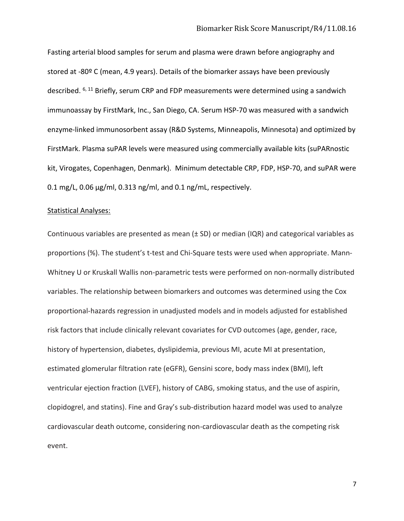Fasting arterial blood samples for serum and plasma were drawn before angiography and stored at -80º C (mean, 4.9 years). Details of the biomarker assays have been previously described. <sup>[6,](#page-16-4) [11](#page-17-3)</sup> Briefly, serum CRP and FDP measurements were determined using a sandwich immunoassay by FirstMark, Inc., San Diego, CA. Serum HSP-70 was measured with a sandwich enzyme-linked immunosorbent assay (R&D Systems, Minneapolis, Minnesota) and optimized by FirstMark. Plasma suPAR levels were measured using commercially available kits (suPARnostic kit, Virogates, Copenhagen, Denmark). Minimum detectable CRP, FDP, HSP-70, and suPAR were 0.1 mg/L, 0.06 μg/ml, 0.313 ng/ml, and 0.1 ng/mL, respectively.

#### Statistical Analyses:

Continuous variables are presented as mean  $(\pm$  SD) or median (IQR) and categorical variables as proportions (%). The student's t-test and Chi-Square tests were used when appropriate. Mann-Whitney U or Kruskall Wallis non-parametric tests were performed on non-normally distributed variables. The relationship between biomarkers and outcomes was determined using the Cox proportional-hazards regression in unadjusted models and in models adjusted for established risk factors that include clinically relevant covariates for CVD outcomes (age, gender, race, history of hypertension, diabetes, dyslipidemia, previous MI, acute MI at presentation, estimated glomerular filtration rate (eGFR), Gensini score, body mass index (BMI), left ventricular ejection fraction (LVEF), history of CABG, smoking status, and the use of aspirin, clopidogrel, and statins). Fine and Gray's sub-distribution hazard model was used to analyze cardiovascular death outcome, considering non-cardiovascular death as the competing risk event.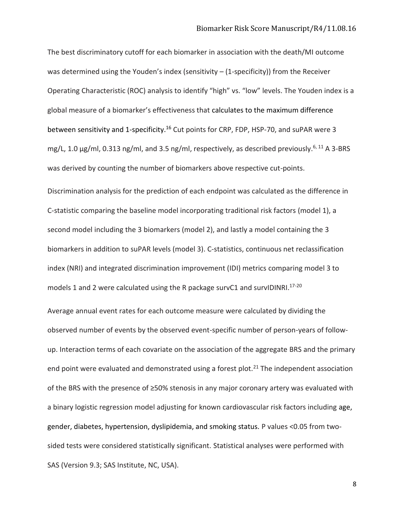The best discriminatory cutoff for each biomarker in association with the death/MI outcome was determined using the Youden's index (sensitivity  $-$  (1-specificity)) from the Receiver Operating Characteristic (ROC) analysis to identify "high" vs. "low" levels. The Youden index is a global measure of a biomarker's effectiveness that calculates to the maximum difference between sensitivity and 1-specificity.<sup>[16](#page-18-3)</sup> Cut points for CRP, FDP, HSP-70, and suPAR were 3 mg/L, 1.0 μg/ml, 0.313 ng/ml, and 3.5 ng/ml, respectively, as described previously.<sup>[6,](#page-16-4) [11](#page-17-3)</sup> A 3-BRS was derived by counting the number of biomarkers above respective cut-points.

Discrimination analysis for the prediction of each endpoint was calculated as the difference in C-statistic comparing the baseline model incorporating traditional risk factors (model 1), a second model including the 3 biomarkers (model 2), and lastly a model containing the 3 biomarkers in addition to suPAR levels (model 3). C-statistics, continuous net reclassification index (NRI) and integrated discrimination improvement (IDI) metrics comparing model 3 to models 1 and 2 were calculated using the R package survC1 and survIDINRI.<sup>[17-20](#page-18-4)</sup>

Average annual event rates for each outcome measure were calculated by dividing the observed number of events by the observed event-specific number of person-years of followup. Interaction terms of each covariate on the association of the aggregate BRS and the primary end point were evaluated and demonstrated using a forest plot.<sup>[21](#page-19-0)</sup> The independent association of the BRS with the presence of ≥50% stenosis in any major coronary artery was evaluated with a binary logistic regression model adjusting for known cardiovascular risk factors including age, gender, diabetes, hypertension, dyslipidemia, and smoking status. P values <0.05 from twosided tests were considered statistically significant. Statistical analyses were performed with SAS (Version 9.3; SAS Institute, NC, USA).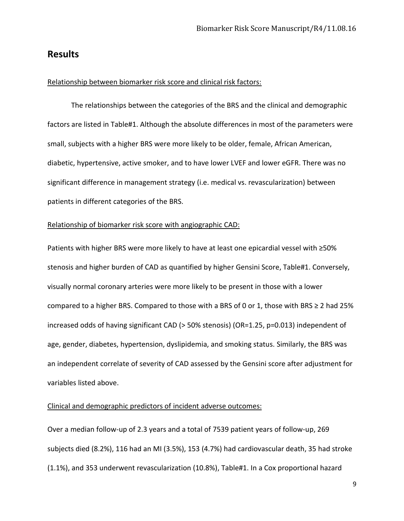# **Results**

#### Relationship between biomarker risk score and clinical risk factors:

The relationships between the categories of the BRS and the clinical and demographic factors are listed in Table#1. Although the absolute differences in most of the parameters were small, subjects with a higher BRS were more likely to be older, female, African American, diabetic, hypertensive, active smoker, and to have lower LVEF and lower eGFR. There was no significant difference in management strategy (i.e. medical vs. revascularization) between patients in different categories of the BRS.

### Relationship of biomarker risk score with angiographic CAD:

Patients with higher BRS were more likely to have at least one epicardial vessel with ≥50% stenosis and higher burden of CAD as quantified by higher Gensini Score, Table#1. Conversely, visually normal coronary arteries were more likely to be present in those with a lower compared to a higher BRS. Compared to those with a BRS of 0 or 1, those with BRS  $\geq$  2 had 25% increased odds of having significant CAD (> 50% stenosis) (OR=1.25, p=0.013) independent of age, gender, diabetes, hypertension, dyslipidemia, and smoking status. Similarly, the BRS was an independent correlate of severity of CAD assessed by the Gensini score after adjustment for variables listed above.

### Clinical and demographic predictors of incident adverse outcomes:

Over a median follow-up of 2.3 years and a total of 7539 patient years of follow-up, 269 subjects died (8.2%), 116 had an MI (3.5%), 153 (4.7%) had cardiovascular death, 35 had stroke (1.1%), and 353 underwent revascularization (10.8%), Table#1. In a Cox proportional hazard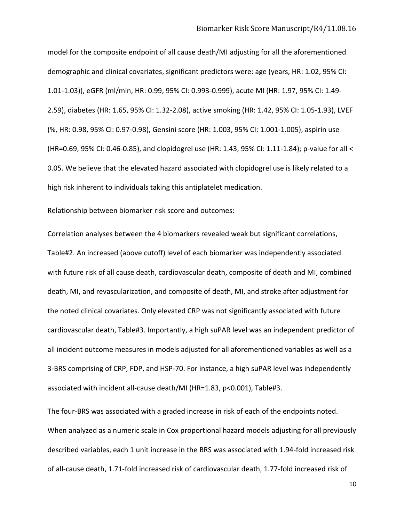model for the composite endpoint of all cause death/MI adjusting for all the aforementioned demographic and clinical covariates, significant predictors were: age (years, HR: 1.02, 95% CI: 1.01-1.03)), eGFR (ml/min, HR: 0.99, 95% CI: 0.993-0.999), acute MI (HR: 1.97, 95% CI: 1.49- 2.59), diabetes (HR: 1.65, 95% CI: 1.32-2.08), active smoking (HR: 1.42, 95% CI: 1.05-1.93), LVEF (%, HR: 0.98, 95% CI: 0.97-0.98), Gensini score (HR: 1.003, 95% CI: 1.001-1.005), aspirin use (HR=0.69, 95% CI: 0.46-0.85), and clopidogrel use (HR: 1.43, 95% CI: 1.11-1.84); p-value for all < 0.05. We believe that the elevated hazard associated with clopidogrel use is likely related to a high risk inherent to individuals taking this antiplatelet medication.

### Relationship between biomarker risk score and outcomes:

Correlation analyses between the 4 biomarkers revealed weak but significant correlations, Table#2. An increased (above cutoff) level of each biomarker was independently associated with future risk of all cause death, cardiovascular death, composite of death and MI, combined death, MI, and revascularization, and composite of death, MI, and stroke after adjustment for the noted clinical covariates. Only elevated CRP was not significantly associated with future cardiovascular death, Table#3. Importantly, a high suPAR level was an independent predictor of all incident outcome measures in models adjusted for all aforementioned variables as well as a 3-BRS comprising of CRP, FDP, and HSP-70. For instance, a high suPAR level was independently associated with incident all-cause death/MI (HR=1.83, p<0.001), Table#3.

The four-BRS was associated with a graded increase in risk of each of the endpoints noted. When analyzed as a numeric scale in Cox proportional hazard models adjusting for all previously described variables, each 1 unit increase in the BRS was associated with 1.94-fold increased risk of all-cause death, 1.71-fold increased risk of cardiovascular death, 1.77-fold increased risk of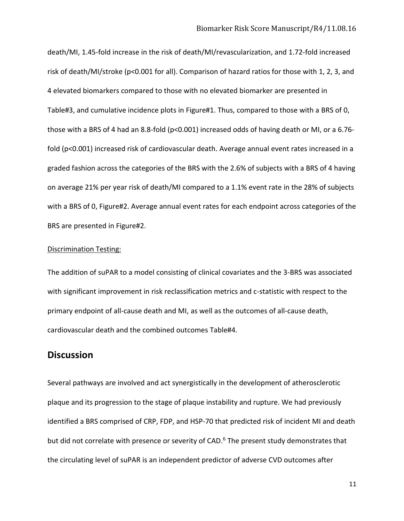death/MI, 1.45-fold increase in the risk of death/MI/revascularization, and 1.72-fold increased risk of death/MI/stroke (p<0.001 for all). Comparison of hazard ratios for those with 1, 2, 3, and 4 elevated biomarkers compared to those with no elevated biomarker are presented in Table#3, and cumulative incidence plots in Figure#1. Thus, compared to those with a BRS of 0, those with a BRS of 4 had an 8.8-fold (p<0.001) increased odds of having death or MI, or a 6.76 fold (p<0.001) increased risk of cardiovascular death. Average annual event rates increased in a graded fashion across the categories of the BRS with the 2.6% of subjects with a BRS of 4 having on average 21% per year risk of death/MI compared to a 1.1% event rate in the 28% of subjects with a BRS of 0, Figure#2. Average annual event rates for each endpoint across categories of the BRS are presented in Figure#2.

#### Discrimination Testing:

The addition of suPAR to a model consisting of clinical covariates and the 3-BRS was associated with significant improvement in risk reclassification metrics and c-statistic with respect to the primary endpoint of all-cause death and MI, as well as the outcomes of all-cause death, cardiovascular death and the combined outcomes Table#4.

## **Discussion**

Several pathways are involved and act synergistically in the development of atherosclerotic plaque and its progression to the stage of plaque instability and rupture. We had previously identified a BRS comprised of CRP, FDP, and HSP-70 that predicted risk of incident MI and death but did not correlate with presence or severity of CAD.<sup>[6](#page-16-4)</sup> The present study demonstrates that the circulating level of suPAR is an independent predictor of adverse CVD outcomes after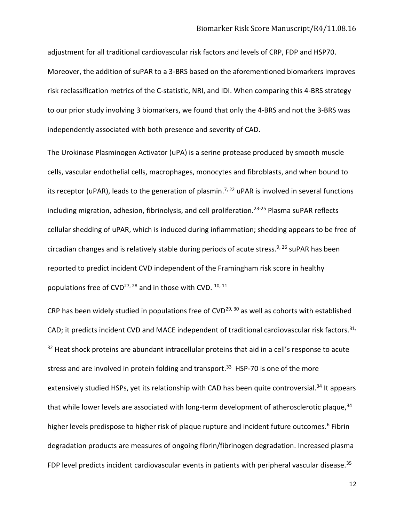adjustment for all traditional cardiovascular risk factors and levels of CRP, FDP and HSP70. Moreover, the addition of suPAR to a 3-BRS based on the aforementioned biomarkers improves risk reclassification metrics of the C-statistic, NRI, and IDI. When comparing this 4-BRS strategy to our prior study involving 3 biomarkers, we found that only the 4-BRS and not the 3-BRS was independently associated with both presence and severity of CAD.

The Urokinase Plasminogen Activator (uPA) is a serine protease produced by smooth muscle cells, vascular endothelial cells, macrophages, monocytes and fibroblasts, and when bound to its receptor (uPAR), leads to the generation of plasmin.<sup>[7,](#page-16-5) [22](#page-19-1)</sup> uPAR is involved in several functions including migration, adhesion, fibrinolysis, and cell proliferation.<sup>[23-25](#page-19-2)</sup> Plasma suPAR reflects cellular shedding of uPAR, which is induced during inflammation; shedding appears to be free of circadian changes and is relatively stable during periods of acute stress.<sup>[9,](#page-17-1) [26](#page-19-3)</sup> suPAR has been reported to predict incident CVD independent of the Framingham risk score in healthy populations free of CVD<sup>[27,](#page-20-0) [28](#page-20-1)</sup> and in those with CVD. <sup>[10,](#page-17-2) [11](#page-17-3)</sup>

CRP has been widely studied in populations free of CVD<sup>[29,](#page-20-2) [30](#page-20-3)</sup> as well as cohorts with established CAD; it predicts incident CVD and MACE independent of traditional cardiovascular risk factors.<sup>[31,](#page-21-0)</sup> <sup>[32](#page-21-1)</sup> Heat shock proteins are abundant intracellular proteins that aid in a cell's response to acute stress and are involved in protein folding and transport.<sup>[33](#page-21-2)</sup> HSP-70 is one of the more extensively studied HSPs, yet its relationship with CAD has been quite controversial.<sup>[34](#page-21-3)</sup> It appears that while lower levels are associated with long-term development of atherosclerotic plaque, [34](#page-21-3) higher levels predispose to higher risk of plaque rupture and incident future outcomes.<sup>[6](#page-16-4)</sup> Fibrin degradation products are measures of ongoing fibrin/fibrinogen degradation. Increased plasma FDP level predicts incident cardiovascular events in patients with peripheral vascular disease.<sup>[35](#page-21-4)</sup>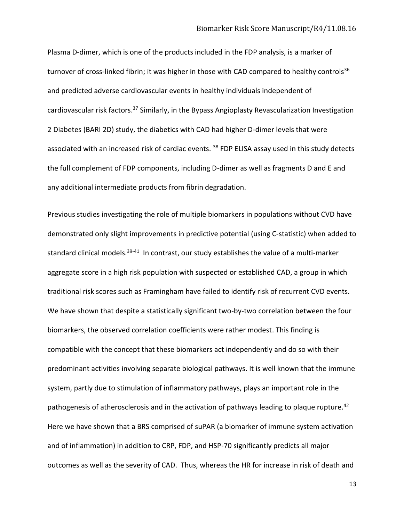Plasma D-dimer, which is one of the products included in the FDP analysis, is a marker of turnover of cross-linked fibrin; it was higher in those with CAD compared to healthy controls<sup>[36](#page-21-5)</sup> and predicted adverse cardiovascular events in healthy individuals independent of cardiovascular risk factors.<sup>[37](#page-21-6)</sup> Similarly, in the Bypass Angioplasty Revascularization Investigation 2 Diabetes (BARI 2D) study, the diabetics with CAD had higher D-dimer levels that were associated with an increased risk of cardiac events. <sup>[38](#page-22-0)</sup> FDP ELISA assay used in this study detects the full complement of FDP components, including D-dimer as well as fragments D and E and any additional intermediate products from fibrin degradation.

Previous studies investigating the role of multiple biomarkers in populations without CVD have demonstrated only slight improvements in predictive potential (using C-statistic) when added to standard clinical models.<sup>[39-41](#page-22-1)</sup> In contrast, our study establishes the value of a multi-marker aggregate score in a high risk population with suspected or established CAD, a group in which traditional risk scores such as Framingham have failed to identify risk of recurrent CVD events. We have shown that despite a statistically significant two-by-two correlation between the four biomarkers, the observed correlation coefficients were rather modest. This finding is compatible with the concept that these biomarkers act independently and do so with their predominant activities involving separate biological pathways. It is well known that the immune system, partly due to stimulation of inflammatory pathways, plays an important role in the pathogenesis of atherosclerosis and in the activation of pathways leading to plaque rupture.<sup>[42](#page-22-2)</sup> Here we have shown that a BRS comprised of suPAR (a biomarker of immune system activation and of inflammation) in addition to CRP, FDP, and HSP-70 significantly predicts all major outcomes as well as the severity of CAD. Thus, whereas the HR for increase in risk of death and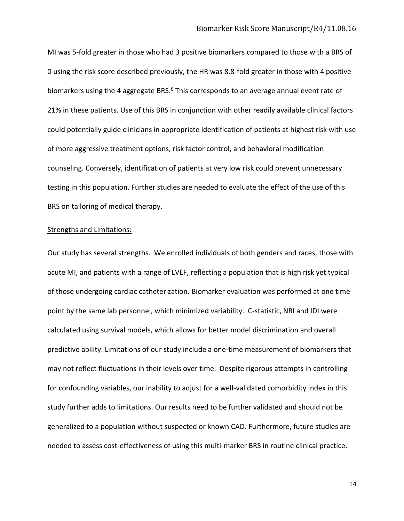MI was 5-fold greater in those who had 3 positive biomarkers compared to those with a BRS of 0 using the risk score described previously, the HR was 8.8-fold greater in those with 4 positive biomarkers using the 4 aggregate BRS.<sup>[6](#page-16-4)</sup> This corresponds to an average annual event rate of 21% in these patients. Use of this BRS in conjunction with other readily available clinical factors could potentially guide clinicians in appropriate identification of patients at highest risk with use of more aggressive treatment options, risk factor control, and behavioral modification counseling. Conversely, identification of patients at very low risk could prevent unnecessary testing in this population. Further studies are needed to evaluate the effect of the use of this BRS on tailoring of medical therapy.

#### Strengths and Limitations:

Our study has several strengths. We enrolled individuals of both genders and races, those with acute MI, and patients with a range of LVEF, reflecting a population that is high risk yet typical of those undergoing cardiac catheterization. Biomarker evaluation was performed at one time point by the same lab personnel, which minimized variability. C-statistic, NRI and IDI were calculated using survival models, which allows for better model discrimination and overall predictive ability. Limitations of our study include a one-time measurement of biomarkers that may not reflect fluctuations in their levels over time. Despite rigorous attempts in controlling for confounding variables, our inability to adjust for a well-validated comorbidity index in this study further adds to limitations. Our results need to be further validated and should not be generalized to a population without suspected or known CAD. Furthermore, future studies are needed to assess cost-effectiveness of using this multi-marker BRS in routine clinical practice.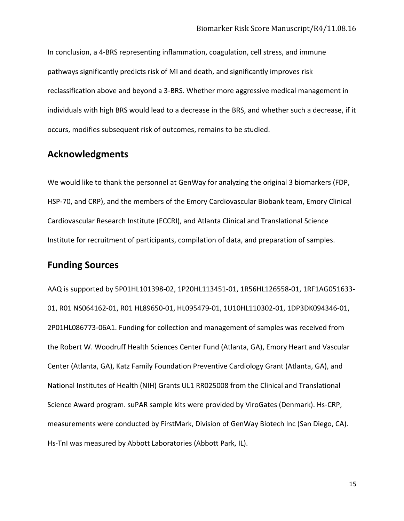In conclusion, a 4-BRS representing inflammation, coagulation, cell stress, and immune pathways significantly predicts risk of MI and death, and significantly improves risk reclassification above and beyond a 3-BRS. Whether more aggressive medical management in individuals with high BRS would lead to a decrease in the BRS, and whether such a decrease, if it occurs, modifies subsequent risk of outcomes, remains to be studied.

# **Acknowledgments**

We would like to thank the personnel at GenWay for analyzing the original 3 biomarkers (FDP, HSP-70, and CRP), and the members of the Emory Cardiovascular Biobank team, Emory Clinical Cardiovascular Research Institute (ECCRI), and Atlanta Clinical and Translational Science Institute for recruitment of participants, compilation of data, and preparation of samples.

# **Funding Sources**

AAQ is supported by 5P01HL101398-02, 1P20HL113451-01, 1R56HL126558-01, 1RF1AG051633- 01, R01 NS064162-01, R01 HL89650-01, HL095479-01, 1U10HL110302-01, 1DP3DK094346-01, 2P01HL086773-06A1. Funding for collection and management of samples was received from the Robert W. Woodruff Health Sciences Center Fund (Atlanta, GA), Emory Heart and Vascular Center (Atlanta, GA), Katz Family Foundation Preventive Cardiology Grant (Atlanta, GA), and National Institutes of Health (NIH) Grants UL1 RR025008 from the Clinical and Translational Science Award program. suPAR sample kits were provided by ViroGates (Denmark). Hs-CRP, measurements were conducted by FirstMark, Division of GenWay Biotech Inc (San Diego, CA). Hs-TnI was measured by Abbott Laboratories (Abbott Park, IL).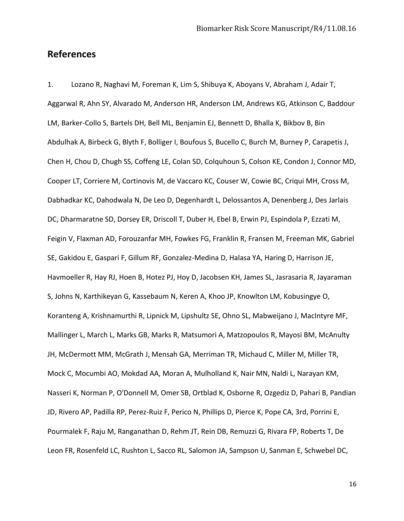# **References**

<span id="page-15-0"></span>1. Lozano R, Naghavi M, Foreman K, Lim S, Shibuya K, Aboyans V, Abraham J, Adair T, Aggarwal R, Ahn SY, Alvarado M, Anderson HR, Anderson LM, Andrews KG, Atkinson C, Baddour LM, Barker-Collo S, Bartels DH, Bell ML, Benjamin EJ, Bennett D, Bhalla K, Bikbov B, Bin Abdulhak A, Birbeck G, Blyth F, Bolliger I, Boufous S, Bucello C, Burch M, Burney P, Carapetis J, Chen H, Chou D, Chugh SS, Coffeng LE, Colan SD, Colquhoun S, Colson KE, Condon J, Connor MD, Cooper LT, Corriere M, Cortinovis M, de Vaccaro KC, Couser W, Cowie BC, Criqui MH, Cross M, Dabhadkar KC, Dahodwala N, De Leo D, Degenhardt L, Delossantos A, Denenberg J, Des Jarlais DC, Dharmaratne SD, Dorsey ER, Driscoll T, Duber H, Ebel B, Erwin PJ, Espindola P, Ezzati M, Feigin V, Flaxman AD, Forouzanfar MH, Fowkes FG, Franklin R, Fransen M, Freeman MK, Gabriel SE, Gakidou E, Gaspari F, Gillum RF, Gonzalez-Medina D, Halasa YA, Haring D, Harrison JE, Havmoeller R, Hay RJ, Hoen B, Hotez PJ, Hoy D, Jacobsen KH, James SL, Jasrasaria R, Jayaraman S, Johns N, Karthikeyan G, Kassebaum N, Keren A, Khoo JP, Knowlton LM, Kobusingye O, Koranteng A, Krishnamurthi R, Lipnick M, Lipshultz SE, Ohno SL, Mabweijano J, MacIntyre MF, Mallinger L, March L, Marks GB, Marks R, Matsumori A, Matzopoulos R, Mayosi BM, McAnulty JH, McDermott MM, McGrath J, Mensah GA, Merriman TR, Michaud C, Miller M, Miller TR, Mock C, Mocumbi AO, Mokdad AA, Moran A, Mulholland K, Nair MN, Naldi L, Narayan KM, Nasseri K, Norman P, O'Donnell M, Omer SB, Ortblad K, Osborne R, Ozgediz D, Pahari B, Pandian JD, Rivero AP, Padilla RP, Perez-Ruiz F, Perico N, Phillips D, Pierce K, Pope CA, 3rd, Porrini E, Pourmalek F, Raju M, Ranganathan D, Rehm JT, Rein DB, Remuzzi G, Rivara FP, Roberts T, De Leon FR, Rosenfeld LC, Rushton L, Sacco RL, Salomon JA, Sampson U, Sanman E, Schwebel DC,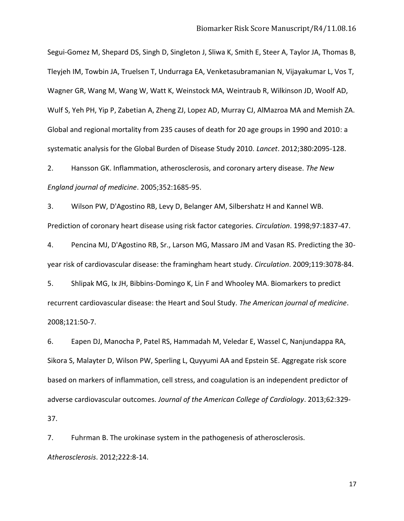Segui-Gomez M, Shepard DS, Singh D, Singleton J, Sliwa K, Smith E, Steer A, Taylor JA, Thomas B, Tleyjeh IM, Towbin JA, Truelsen T, Undurraga EA, Venketasubramanian N, Vijayakumar L, Vos T, Wagner GR, Wang M, Wang W, Watt K, Weinstock MA, Weintraub R, Wilkinson JD, Woolf AD, Wulf S, Yeh PH, Yip P, Zabetian A, Zheng ZJ, Lopez AD, Murray CJ, AlMazroa MA and Memish ZA. Global and regional mortality from 235 causes of death for 20 age groups in 1990 and 2010: a systematic analysis for the Global Burden of Disease Study 2010. *Lancet*. 2012;380:2095-128.

<span id="page-16-0"></span>2. Hansson GK. Inflammation, atherosclerosis, and coronary artery disease. *The New England journal of medicine*. 2005;352:1685-95.

<span id="page-16-1"></span>3. Wilson PW, D'Agostino RB, Levy D, Belanger AM, Silbershatz H and Kannel WB. Prediction of coronary heart disease using risk factor categories. *Circulation*. 1998;97:1837-47.

<span id="page-16-2"></span>4. Pencina MJ, D'Agostino RB, Sr., Larson MG, Massaro JM and Vasan RS. Predicting the 30 year risk of cardiovascular disease: the framingham heart study. *Circulation*. 2009;119:3078-84.

<span id="page-16-3"></span>5. Shlipak MG, Ix JH, Bibbins-Domingo K, Lin F and Whooley MA. Biomarkers to predict recurrent cardiovascular disease: the Heart and Soul Study. *The American journal of medicine*. 2008;121:50-7.

<span id="page-16-4"></span>6. Eapen DJ, Manocha P, Patel RS, Hammadah M, Veledar E, Wassel C, Nanjundappa RA, Sikora S, Malayter D, Wilson PW, Sperling L, Quyyumi AA and Epstein SE. Aggregate risk score based on markers of inflammation, cell stress, and coagulation is an independent predictor of adverse cardiovascular outcomes. *Journal of the American College of Cardiology*. 2013;62:329- 37.

<span id="page-16-5"></span>7. Fuhrman B. The urokinase system in the pathogenesis of atherosclerosis. *Atherosclerosis*. 2012;222:8-14.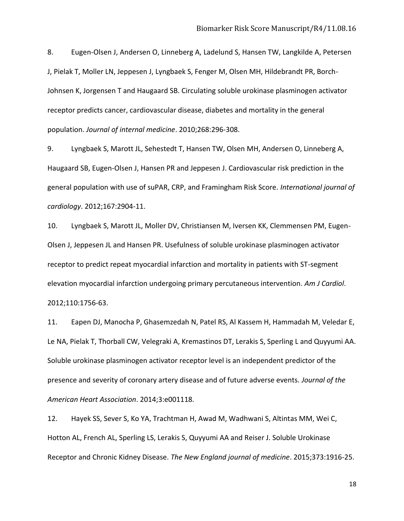<span id="page-17-0"></span>8. Eugen-Olsen J, Andersen O, Linneberg A, Ladelund S, Hansen TW, Langkilde A, Petersen J, Pielak T, Moller LN, Jeppesen J, Lyngbaek S, Fenger M, Olsen MH, Hildebrandt PR, Borch-Johnsen K, Jorgensen T and Haugaard SB. Circulating soluble urokinase plasminogen activator receptor predicts cancer, cardiovascular disease, diabetes and mortality in the general population. *Journal of internal medicine*. 2010;268:296-308.

<span id="page-17-1"></span>9. Lyngbaek S, Marott JL, Sehestedt T, Hansen TW, Olsen MH, Andersen O, Linneberg A, Haugaard SB, Eugen-Olsen J, Hansen PR and Jeppesen J. Cardiovascular risk prediction in the general population with use of suPAR, CRP, and Framingham Risk Score. *International journal of cardiology*. 2012;167:2904-11.

<span id="page-17-2"></span>10. Lyngbaek S, Marott JL, Moller DV, Christiansen M, Iversen KK, Clemmensen PM, Eugen-Olsen J, Jeppesen JL and Hansen PR. Usefulness of soluble urokinase plasminogen activator receptor to predict repeat myocardial infarction and mortality in patients with ST-segment elevation myocardial infarction undergoing primary percutaneous intervention. *Am J Cardiol*. 2012;110:1756-63.

<span id="page-17-3"></span>11. Eapen DJ, Manocha P, Ghasemzedah N, Patel RS, Al Kassem H, Hammadah M, Veledar E, Le NA, Pielak T, Thorball CW, Velegraki A, Kremastinos DT, Lerakis S, Sperling L and Quyyumi AA. Soluble urokinase plasminogen activator receptor level is an independent predictor of the presence and severity of coronary artery disease and of future adverse events. *Journal of the American Heart Association*. 2014;3:e001118.

12. Hayek SS, Sever S, Ko YA, Trachtman H, Awad M, Wadhwani S, Altintas MM, Wei C, Hotton AL, French AL, Sperling LS, Lerakis S, Quyyumi AA and Reiser J. Soluble Urokinase Receptor and Chronic Kidney Disease. *The New England journal of medicine*. 2015;373:1916-25.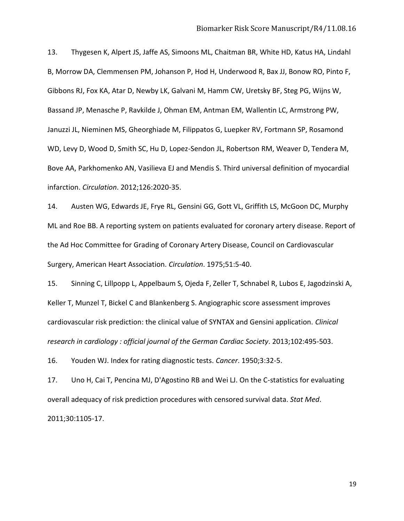<span id="page-18-0"></span>13. Thygesen K, Alpert JS, Jaffe AS, Simoons ML, Chaitman BR, White HD, Katus HA, Lindahl B, Morrow DA, Clemmensen PM, Johanson P, Hod H, Underwood R, Bax JJ, Bonow RO, Pinto F, Gibbons RJ, Fox KA, Atar D, Newby LK, Galvani M, Hamm CW, Uretsky BF, Steg PG, Wijns W, Bassand JP, Menasche P, Ravkilde J, Ohman EM, Antman EM, Wallentin LC, Armstrong PW, Januzzi JL, Nieminen MS, Gheorghiade M, Filippatos G, Luepker RV, Fortmann SP, Rosamond WD, Levy D, Wood D, Smith SC, Hu D, Lopez-Sendon JL, Robertson RM, Weaver D, Tendera M, Bove AA, Parkhomenko AN, Vasilieva EJ and Mendis S. Third universal definition of myocardial infarction. *Circulation*. 2012;126:2020-35.

<span id="page-18-1"></span>14. Austen WG, Edwards JE, Frye RL, Gensini GG, Gott VL, Griffith LS, McGoon DC, Murphy ML and Roe BB. A reporting system on patients evaluated for coronary artery disease. Report of the Ad Hoc Committee for Grading of Coronary Artery Disease, Council on Cardiovascular Surgery, American Heart Association. *Circulation*. 1975;51:5-40.

<span id="page-18-2"></span>15. Sinning C, Lillpopp L, Appelbaum S, Ojeda F, Zeller T, Schnabel R, Lubos E, Jagodzinski A, Keller T, Munzel T, Bickel C and Blankenberg S. Angiographic score assessment improves cardiovascular risk prediction: the clinical value of SYNTAX and Gensini application. *Clinical research in cardiology : official journal of the German Cardiac Society*. 2013;102:495-503.

<span id="page-18-3"></span>16. Youden WJ. Index for rating diagnostic tests. *Cancer*. 1950;3:32-5.

<span id="page-18-4"></span>17. Uno H, Cai T, Pencina MJ, D'Agostino RB and Wei LJ. On the C-statistics for evaluating overall adequacy of risk prediction procedures with censored survival data. *Stat Med*. 2011;30:1105-17.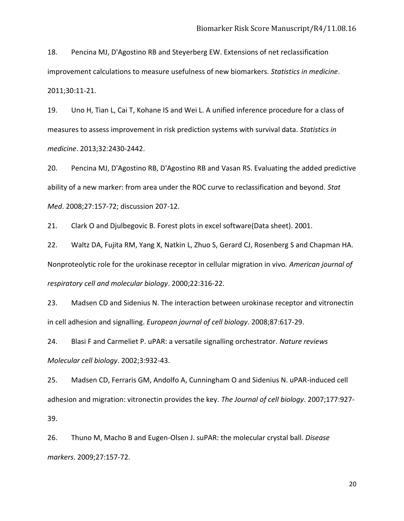18. Pencina MJ, D'Agostino RB and Steyerberg EW. Extensions of net reclassification improvement calculations to measure usefulness of new biomarkers. *Statistics in medicine*. 2011;30:11-21.

19. Uno H, Tian L, Cai T, Kohane IS and Wei L. A unified inference procedure for a class of measures to assess improvement in risk prediction systems with survival data. *Statistics in medicine*. 2013;32:2430-2442.

20. Pencina MJ, D'Agostino RB, D'Agostino RB and Vasan RS. Evaluating the added predictive ability of a new marker: from area under the ROC curve to reclassification and beyond. *Stat Med*. 2008;27:157-72; discussion 207-12.

<span id="page-19-0"></span>21. Clark O and Djulbegovic B. Forest plots in excel software(Data sheet). 2001.

<span id="page-19-1"></span>22. Waltz DA, Fujita RM, Yang X, Natkin L, Zhuo S, Gerard CJ, Rosenberg S and Chapman HA. Nonproteolytic role for the urokinase receptor in cellular migration in vivo. *American journal of respiratory cell and molecular biology*. 2000;22:316-22.

<span id="page-19-2"></span>23. Madsen CD and Sidenius N. The interaction between urokinase receptor and vitronectin in cell adhesion and signalling. *European journal of cell biology*. 2008;87:617-29.

24. Blasi F and Carmeliet P. uPAR: a versatile signalling orchestrator. *Nature reviews Molecular cell biology*. 2002;3:932-43.

25. Madsen CD, Ferraris GM, Andolfo A, Cunningham O and Sidenius N. uPAR-induced cell adhesion and migration: vitronectin provides the key. *The Journal of cell biology*. 2007;177:927- 39.

<span id="page-19-3"></span>26. Thuno M, Macho B and Eugen-Olsen J. suPAR: the molecular crystal ball. *Disease markers*. 2009;27:157-72.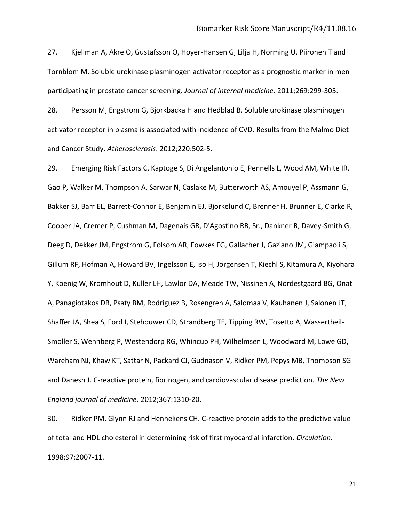<span id="page-20-0"></span>27. Kjellman A, Akre O, Gustafsson O, Hoyer-Hansen G, Lilja H, Norming U, Piironen T and Tornblom M. Soluble urokinase plasminogen activator receptor as a prognostic marker in men participating in prostate cancer screening. *Journal of internal medicine*. 2011;269:299-305.

<span id="page-20-1"></span>28. Persson M, Engstrom G, Bjorkbacka H and Hedblad B. Soluble urokinase plasminogen activator receptor in plasma is associated with incidence of CVD. Results from the Malmo Diet and Cancer Study. *Atherosclerosis*. 2012;220:502-5.

<span id="page-20-2"></span>29. Emerging Risk Factors C, Kaptoge S, Di Angelantonio E, Pennells L, Wood AM, White IR, Gao P, Walker M, Thompson A, Sarwar N, Caslake M, Butterworth AS, Amouyel P, Assmann G, Bakker SJ, Barr EL, Barrett-Connor E, Benjamin EJ, Bjorkelund C, Brenner H, Brunner E, Clarke R, Cooper JA, Cremer P, Cushman M, Dagenais GR, D'Agostino RB, Sr., Dankner R, Davey-Smith G, Deeg D, Dekker JM, Engstrom G, Folsom AR, Fowkes FG, Gallacher J, Gaziano JM, Giampaoli S, Gillum RF, Hofman A, Howard BV, Ingelsson E, Iso H, Jorgensen T, Kiechl S, Kitamura A, Kiyohara Y, Koenig W, Kromhout D, Kuller LH, Lawlor DA, Meade TW, Nissinen A, Nordestgaard BG, Onat A, Panagiotakos DB, Psaty BM, Rodriguez B, Rosengren A, Salomaa V, Kauhanen J, Salonen JT, Shaffer JA, Shea S, Ford I, Stehouwer CD, Strandberg TE, Tipping RW, Tosetto A, Wassertheil-Smoller S, Wennberg P, Westendorp RG, Whincup PH, Wilhelmsen L, Woodward M, Lowe GD, Wareham NJ, Khaw KT, Sattar N, Packard CJ, Gudnason V, Ridker PM, Pepys MB, Thompson SG and Danesh J. C-reactive protein, fibrinogen, and cardiovascular disease prediction. *The New England journal of medicine*. 2012;367:1310-20.

<span id="page-20-3"></span>30. Ridker PM, Glynn RJ and Hennekens CH. C-reactive protein adds to the predictive value of total and HDL cholesterol in determining risk of first myocardial infarction. *Circulation*. 1998;97:2007-11.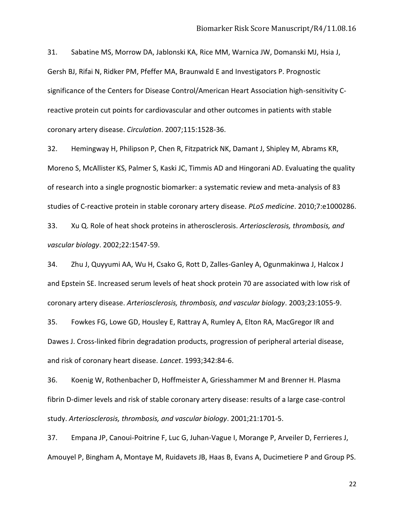<span id="page-21-0"></span>31. Sabatine MS, Morrow DA, Jablonski KA, Rice MM, Warnica JW, Domanski MJ, Hsia J, Gersh BJ, Rifai N, Ridker PM, Pfeffer MA, Braunwald E and Investigators P. Prognostic significance of the Centers for Disease Control/American Heart Association high-sensitivity Creactive protein cut points for cardiovascular and other outcomes in patients with stable coronary artery disease. *Circulation*. 2007;115:1528-36.

<span id="page-21-1"></span>32. Hemingway H, Philipson P, Chen R, Fitzpatrick NK, Damant J, Shipley M, Abrams KR, Moreno S, McAllister KS, Palmer S, Kaski JC, Timmis AD and Hingorani AD. Evaluating the quality of research into a single prognostic biomarker: a systematic review and meta-analysis of 83 studies of C-reactive protein in stable coronary artery disease. *PLoS medicine*. 2010;7:e1000286.

<span id="page-21-2"></span>33. Xu Q. Role of heat shock proteins in atherosclerosis. *Arteriosclerosis, thrombosis, and vascular biology*. 2002;22:1547-59.

<span id="page-21-3"></span>34. Zhu J, Quyyumi AA, Wu H, Csako G, Rott D, Zalles-Ganley A, Ogunmakinwa J, Halcox J and Epstein SE. Increased serum levels of heat shock protein 70 are associated with low risk of coronary artery disease. *Arteriosclerosis, thrombosis, and vascular biology*. 2003;23:1055-9.

<span id="page-21-4"></span>35. Fowkes FG, Lowe GD, Housley E, Rattray A, Rumley A, Elton RA, MacGregor IR and Dawes J. Cross-linked fibrin degradation products, progression of peripheral arterial disease, and risk of coronary heart disease. *Lancet*. 1993;342:84-6.

<span id="page-21-5"></span>36. Koenig W, Rothenbacher D, Hoffmeister A, Griesshammer M and Brenner H. Plasma fibrin D-dimer levels and risk of stable coronary artery disease: results of a large case-control study. *Arteriosclerosis, thrombosis, and vascular biology*. 2001;21:1701-5.

<span id="page-21-6"></span>37. Empana JP, Canoui-Poitrine F, Luc G, Juhan-Vague I, Morange P, Arveiler D, Ferrieres J, Amouyel P, Bingham A, Montaye M, Ruidavets JB, Haas B, Evans A, Ducimetiere P and Group PS.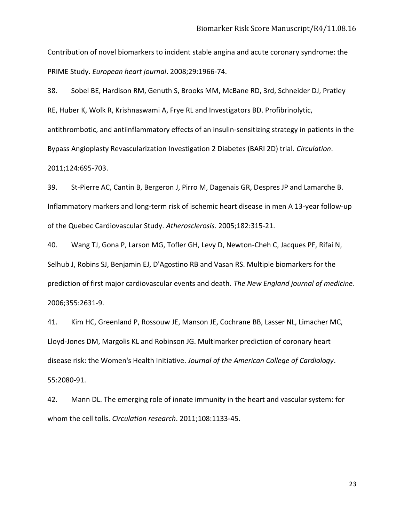Contribution of novel biomarkers to incident stable angina and acute coronary syndrome: the PRIME Study. *European heart journal*. 2008;29:1966-74.

<span id="page-22-0"></span>38. Sobel BE, Hardison RM, Genuth S, Brooks MM, McBane RD, 3rd, Schneider DJ, Pratley RE, Huber K, Wolk R, Krishnaswami A, Frye RL and Investigators BD. Profibrinolytic, antithrombotic, and antiinflammatory effects of an insulin-sensitizing strategy in patients in the Bypass Angioplasty Revascularization Investigation 2 Diabetes (BARI 2D) trial. *Circulation*. 2011;124:695-703.

<span id="page-22-1"></span>39. St-Pierre AC, Cantin B, Bergeron J, Pirro M, Dagenais GR, Despres JP and Lamarche B. Inflammatory markers and long-term risk of ischemic heart disease in men A 13-year follow-up of the Quebec Cardiovascular Study. *Atherosclerosis*. 2005;182:315-21.

40. Wang TJ, Gona P, Larson MG, Tofler GH, Levy D, Newton-Cheh C, Jacques PF, Rifai N, Selhub J, Robins SJ, Benjamin EJ, D'Agostino RB and Vasan RS. Multiple biomarkers for the prediction of first major cardiovascular events and death. *The New England journal of medicine*. 2006;355:2631-9.

41. Kim HC, Greenland P, Rossouw JE, Manson JE, Cochrane BB, Lasser NL, Limacher MC, Lloyd-Jones DM, Margolis KL and Robinson JG. Multimarker prediction of coronary heart disease risk: the Women's Health Initiative. *Journal of the American College of Cardiology*. 55:2080-91.

<span id="page-22-2"></span>42. Mann DL. The emerging role of innate immunity in the heart and vascular system: for whom the cell tolls. *Circulation research*. 2011;108:1133-45.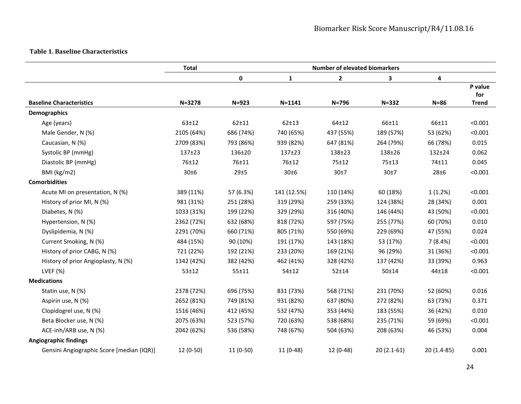## **Table 1. Baseline Characteristics**

|                                           | <b>Total</b><br><b>Number of elevated biomarkers</b> |            |             |              |              |             |                |
|-------------------------------------------|------------------------------------------------------|------------|-------------|--------------|--------------|-------------|----------------|
|                                           |                                                      | 0          | 1           | $\mathbf{2}$ | 3            | 4           |                |
|                                           |                                                      |            |             |              |              |             | P value<br>for |
| <b>Baseline Characteristics</b>           | $N = 3278$                                           | $N = 923$  | $N = 1141$  | $N = 796$    | $N = 332$    | $N = 86$    | <b>Trend</b>   |
| <b>Demographics</b>                       |                                                      |            |             |              |              |             |                |
| Age (years)                               | $63 + 12$                                            | $62 + 11$  | $62 + 13$   | 64±12        | 66±11        | 66±11       | < 0.001        |
| Male Gender, N (%)                        | 2105 (64%)                                           | 686 (74%)  | 740 (65%)   | 437 (55%)    | 189 (57%)    | 53 (62%)    | < 0.001        |
| Caucasian, N (%)                          | 2709 (83%)                                           | 793 (86%)  | 939 (82%)   | 647 (81%)    | 264 (79%)    | 66 (78%)    | 0.015          |
| Systolic BP (mmHg)                        | 137±23                                               | 136±20     | $137+23$    | $138+23$     | 138±26       | 132±24      | 0.062          |
| Diastolic BP (mmHg)                       | 76±12                                                | 76±11      | 76±12       | 75±12        | 75±13        | 74±11       | 0.045          |
| BMI (kg/m2)                               | 30±6                                                 | 29±5       | 30±6        | 30±7         | 30±7         | 28±6        | < 0.001        |
| <b>Comorbidities</b>                      |                                                      |            |             |              |              |             |                |
| Acute MI on presentation, N (%)           | 389 (11%)                                            | 57 (6.3%)  | 141 (12.5%) | 110 (14%)    | 60 (18%)     | 1(1.2%)     | < 0.001        |
| History of prior MI, N (%)                | 981 (31%)                                            | 251 (28%)  | 319 (29%)   | 259 (33%)    | 124 (38%)    | 28 (34%)    | 0.001          |
| Diabetes, N (%)                           | 1033 (31%)                                           | 199 (22%)  | 329 (29%)   | 316 (40%)    | 146 (44%)    | 43 (50%)    | < 0.001        |
| Hypertension, N (%)                       | 2362 (72%)                                           | 632 (68%)  | 818 (72%)   | 597 (75%)    | 255 (77%)    | 60 (70%)    | 0.010          |
| Dyslipidemia, N (%)                       | 2291 (70%)                                           | 660 (71%)  | 805 (71%)   | 550 (69%)    | 229 (69%)    | 47 (55%)    | 0.024          |
| Current Smoking, N (%)                    | 484 (15%)                                            | 90 (10%)   | 191 (17%)   | 143 (18%)    | 53 (17%)     | 7(8.4%)     | < 0.001        |
| History of prior CABG, N (%)              | 721 (22%)                                            | 192 (21%)  | 233 (20%)   | 169 (21%)    | 96 (29%)     | 31 (36%)    | < 0.001        |
| History of prior Angioplasty, N (%)       | 1342 (42%)                                           | 382 (42%)  | 462 (41%)   | 328 (42%)    | 137 (42%)    | 33 (39%)    | 0.963          |
| LVEF (%)                                  | $53 + 12$                                            | 55±11      | 54±12       | $52 + 14$    | 50±14        | 44±18       | < 0.001        |
| <b>Medications</b>                        |                                                      |            |             |              |              |             |                |
| Statin use, N (%)                         | 2378 (72%)                                           | 696 (75%)  | 831 (73%)   | 568 (71%)    | 231 (70%)    | 52 (60%)    | 0.016          |
| Aspirin use, N (%)                        | 2652 (81%)                                           | 749 (81%)  | 931 (82%)   | 637 (80%)    | 272 (82%)    | 63 (73%)    | 0.371          |
| Clopidogrel use, N (%)                    | 1516 (46%)                                           | 412 (45%)  | 532 (47%)   | 353 (44%)    | 183 (55%)    | 36 (42%)    | 0.010          |
| Beta Blocker use, N (%)                   | 2075 (63%)                                           | 523 (57%)  | 720 (63%)   | 538 (68%)    | 235 (71%)    | 59 (69%)    | < 0.001        |
| ACE-inh/ARB use, N (%)                    | 2042 (62%)                                           | 536 (58%)  | 748 (67%)   | 504 (63%)    | 208 (63%)    | 46 (53%)    | 0.004          |
| <b>Angiographic findings</b>              |                                                      |            |             |              |              |             |                |
| Gensini Angiographic Score [median (IQR)] | 12 (0-50)                                            | $11(0-50)$ | $11(0-48)$  | 12 (0-48)    | $20(2.1-61)$ | 20 (1.4-85) | 0.001          |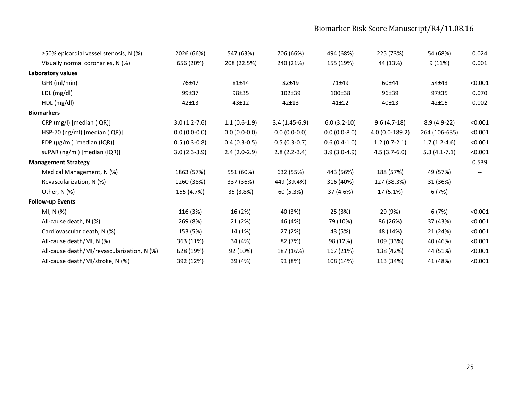| ≥50% epicardial vessel stenosis, $N$ (%)    | 2026 (66%)     | 547 (63%)      | 706 (66%)       | 494 (68%)      | 225 (73%)        | 54 (68%)       | 0.024   |
|---------------------------------------------|----------------|----------------|-----------------|----------------|------------------|----------------|---------|
| Visually normal coronaries, N (%)           | 656 (20%)      | 208 (22.5%)    | 240 (21%)       | 155 (19%)      | 44 (13%)         | 9(11%)         | 0.001   |
| Laboratory values                           |                |                |                 |                |                  |                |         |
| GFR (ml/min)                                | 76±47          | 81±44          | 82±49           | 71±49          | 60±44            | $54 + 43$      | < 0.001 |
| LDL (mg/dl)                                 | 99±37          | 98±35          | $102 + 39$      | 100±38         | 96±39            | 97±35          | 0.070   |
| HDL (mg/dl)                                 | $42 + 13$      | 43±12          | $42 + 13$       | $41 + 12$      | 40±13            | $42 + 15$      | 0.002   |
| <b>Biomarkers</b>                           |                |                |                 |                |                  |                |         |
| CRP (mg/l) [median (IQR)]                   | $3.0(1.2-7.6)$ | $1.1(0.6-1.9)$ | $3.4(1.45-6.9)$ | $6.0(3.2-10)$  | $9.6(4.7-18)$    | $8.9(4.9-22)$  | < 0.001 |
| HSP-70 (ng/ml) [median (IQR)]               | $0.0(0.0-0.0)$ | $0.0(0.0-0.0)$ | $0.0(0.0-0.0)$  | $0.0(0.0-8.0)$ | $4.0(0.0-189.2)$ | 264 (106-635)  | < 0.001 |
| FDP (µg/ml) [median (IQR)]                  | $0.5(0.3-0.8)$ | $0.4(0.3-0.5)$ | $0.5(0.3-0.7)$  | $0.6(0.4-1.0)$ | $1.2(0.7-2.1)$   | $1.7(1.2-4.6)$ | < 0.001 |
| suPAR (ng/ml) [median (IQR)]                | $3.0(2.3-3.9)$ | $2.4(2.0-2.9)$ | $2.8(2.2-3.4)$  | $3.9(3.0-4.9)$ | $4.5(3.7-6.0)$   | $5.3(4.1-7.1)$ | < 0.001 |
| <b>Management Strategy</b>                  |                |                |                 |                |                  |                | 0.539   |
| Medical Management, N (%)                   | 1863 (57%)     | 551 (60%)      | 632 (55%)       | 443 (56%)      | 188 (57%)        | 49 (57%)       | $- -$   |
| Revascularization, N (%)                    | 1260 (38%)     | 337 (36%)      | 449 (39.4%)     | 316 (40%)      | 127 (38.3%)      | 31 (36%)       |         |
| Other, N (%)                                | 155 (4.7%)     | 35 (3.8%)      | 60 (5.3%)       | 37 (4.6%)      | 17 (5.1%)        | 6 (7%)         |         |
| <b>Follow-up Events</b>                     |                |                |                 |                |                  |                |         |
| MI, N (%)                                   | 116 (3%)       | 16 (2%)        | 40 (3%)         | 25 (3%)        | 29 (9%)          | 6(7%)          | < 0.001 |
| All-cause death, N (%)                      | 269 (8%)       | 21 (2%)        | 46 (4%)         | 79 (10%)       | 86 (26%)         | 37 (43%)       | < 0.001 |
| Cardiovascular death, N (%)                 | 153 (5%)       | 14 (1%)        | 27 (2%)         | 43 (5%)        | 48 (14%)         | 21 (24%)       | < 0.001 |
| All-cause death/MI, N (%)                   | 363 (11%)      | 34 (4%)        | 82 (7%)         | 98 (12%)       | 109 (33%)        | 40 (46%)       | < 0.001 |
| All-cause death/MI/revascularization, N (%) | 628 (19%)      | 92 (10%)       | 187 (16%)       | 167 (21%)      | 138 (42%)        | 44 (51%)       | < 0.001 |
| All-cause death/MI/stroke, N (%)            | 392 (12%)      | 39 (4%)        | 91 (8%)         | 108 (14%)      | 113 (34%)        | 41 (48%)       | < 0.001 |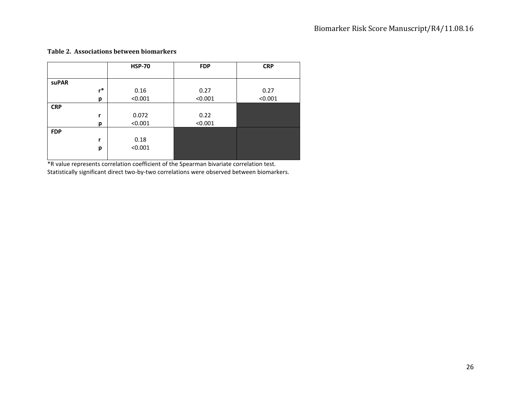|              | <b>HSP-70</b> | <b>FDP</b> | <b>CRP</b> |
|--------------|---------------|------------|------------|
|              |               |            |            |
| <b>suPAR</b> |               |            |            |
| r*           | 0.16          | 0.27       | 0.27       |
| p            | < 0.001       | < 0.001    | < 0.001    |
| <b>CRP</b>   |               |            |            |
| r            | 0.072         | 0.22       |            |
| p            | < 0.001       | < 0.001    |            |
| <b>FDP</b>   |               |            |            |
| r            | 0.18          |            |            |
| р            | < 0.001       |            |            |
|              |               |            |            |

### **Table 2. Associations between biomarkers**

\*R value represents correlation coefficient of the Spearman bivariate correlation test. Statistically significant direct two-by-two correlations were observed between biomarkers.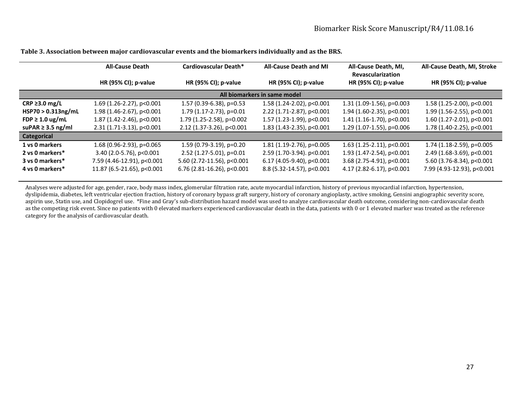|                              | <b>All-Cause Death</b><br>Cardiovascular Death* |                              | <b>All-Cause Death and MI</b> | All-Cause Death, MI,                                    | All-Cause Death, MI, Stroke  |  |  |  |
|------------------------------|-------------------------------------------------|------------------------------|-------------------------------|---------------------------------------------------------|------------------------------|--|--|--|
|                              | <b>HR (95% CI); p-value</b>                     | <b>HR (95% CI); p-value</b>  | <b>HR (95% CI); p-value</b>   | <b>Revascularization</b><br><b>HR (95% CI); p-value</b> | <b>HR (95% CI); p-value</b>  |  |  |  |
| All biomarkers in same model |                                                 |                              |                               |                                                         |                              |  |  |  |
| CRP ≥3.0 mg/L                | $1.69$ (1.26-2.27), p<0.001                     | 1.57 (0.39-6.38), $p=0.53$   | 1.58 $(1.24-2.02)$ , p<0.001  | 1.31 $(1.09-1.56)$ , p=0.003                            | $1.58(1.25-2.00)$ , p<0.001  |  |  |  |
| $HSP70 > 0.313$ ng/mL        | $1.98(1.46-2.67)$ , p<0.001                     | 1.79 $(1.17-2.73)$ , p=0.01  | 2.22 (1.71-2.87), p<0.001     | $1.94$ (1.60-2.35), p<0.001                             | $1.99(1.56-2.55)$ , p<0.001  |  |  |  |
| FDP $\geq 1.0$ ug/mL         | $1.87$ (1.42-2.46), p<0.001                     | 1.79 $(1.25-2.58)$ , p=0.002 | $1.57$ (1.23-1.99), p<0.001   | 1.41 (1.16-1.70), p<0.001                               | 1.60 $(1.27-2.01)$ , p<0.001 |  |  |  |
| $suPAR \geq 3.5$ ng/ml       | $2.31(1.71-3.13)$ , p<0.001                     | $2.12$ (1.37-3.26), p<0.001  | 1.83 $(1.43-2.35)$ , p<0.001  | $1.29$ (1.07-1.55), p=0.006                             | $1.78(1.40-2.25)$ , p<0.001  |  |  |  |
| Categorical                  |                                                 |                              |                               |                                                         |                              |  |  |  |
| 1 vs 0 markers               | $1.68$ (0.96-2.93), p=0.065                     | $1.59$ (0.79-3.19), p=0.20   | $1.81(1.19-2.76)$ , p=0.005   | 1.63 $(1.25-2.11)$ , p<0.001                            | 1.74 $(1.18-2.59)$ , p=0.005 |  |  |  |
| 2 vs 0 markers*              | 3.40 (2.0-5.76), p<0.001                        | $2.52$ (1.27-5.01), p=0.01   | 2.59 (1.70-3.94). p<0.001     | 1.93 $(1.47-2.54)$ , p<0.001                            | 2.49 (1.68-3.69), p<0.001    |  |  |  |
| 3 vs 0 markers*              | 7.59 (4.46-12.91), p<0.001                      | 5.60 (2.72-11.56), p<0.001   | $6.17(4.05-9.40)$ , p<0.001   | $3.68$ (2.75-4.91), p<0.001                             | 5.60 (3.76-8.34), p<0.001    |  |  |  |
| 4 vs 0 markers*              | 11.87 (6.5-21.65), p<0.001                      | 6.76 (2.81-16.26), p<0.001   | 8.8 (5.32-14.57), p<0.001     | 4.17 (2.82-6.17), p<0.001                               | 7.99 (4.93-12.93), p<0.001   |  |  |  |

#### **Table 3. Association between major cardiovascular events and the biomarkers individually and as the BRS.**

Analyses were adjusted for age, gender, race, body mass index, glomerular filtration rate, acute myocardial infarction, history of previous myocardial infarction, hypertension, dyslipidemia, diabetes, left ventricular ejection fraction, history of coronary bypass graft surgery, history of coronary angioplasty, active smoking, Gensini angiographic severity score, aspirin use, Statin use, and Clopidogrel use. \*Fine and Gray's sub-distribution hazard model was used to analyze cardiovascular death outcome, considering non-cardiovascular death as the competing risk event. Since no patients with 0 elevated markers experienced cardiovascular death in the data, patients with 0 or 1 elevated marker was treated as the reference category for the analysis of cardiovascular death.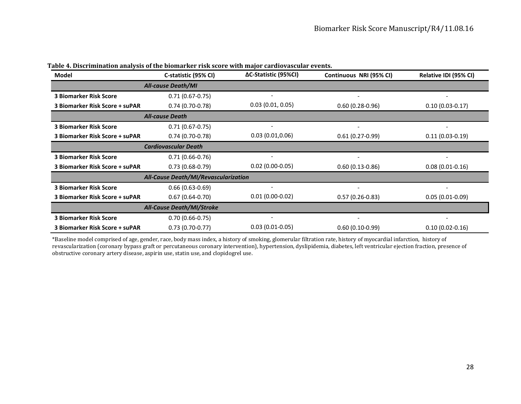| Model                                       | C-statistic (95% CI)             | ΔC-Statistic (95%CI) | Continuous NRI (95% CI) | Relative IDI (95% CI) |  |  |  |
|---------------------------------------------|----------------------------------|----------------------|-------------------------|-----------------------|--|--|--|
|                                             | <b>All-cause Death/MI</b>        |                      |                         |                       |  |  |  |
| <b>3 Biomarker Risk Score</b>               | $0.71(0.67-0.75)$                |                      |                         |                       |  |  |  |
| 3 Biomarker Risk Score + suPAR              | $0.74(0.70-0.78)$                | 0.03(0.01, 0.05)     | $0.60(0.28-0.96)$       | $0.10(0.03-0.17)$     |  |  |  |
|                                             | <b>All-cause Death</b>           |                      |                         |                       |  |  |  |
| <b>3 Biomarker Risk Score</b>               | $0.71(0.67-0.75)$                |                      |                         |                       |  |  |  |
| 3 Biomarker Risk Score + suPAR              | $0.74(0.70-0.78)$                | 0.03(0.01, 0.06)     | $0.61(0.27-0.99)$       | $0.11(0.03-0.19)$     |  |  |  |
|                                             | <b>Cardiovascular Death</b>      |                      |                         |                       |  |  |  |
| <b>3 Biomarker Risk Score</b>               | $0.71(0.66-0.76)$                |                      |                         |                       |  |  |  |
| <b>3 Biomarker Risk Score + suPAR</b>       | $0.73(0.68-0.79)$                | $0.02(0.00-0.05)$    | $0.60(0.13-0.86)$       | $0.08(0.01-0.16)$     |  |  |  |
| <b>All-Cause Death/MI/Revascularization</b> |                                  |                      |                         |                       |  |  |  |
| <b>3 Biomarker Risk Score</b>               | $0.66(0.63-0.69)$                |                      |                         |                       |  |  |  |
| <b>3 Biomarker Risk Score + suPAR</b>       | $0.67(0.64-0.70)$                | $0.01(0.00-0.02)$    | $0.57(0.26-0.83)$       | $0.05(0.01-0.09)$     |  |  |  |
|                                             | <b>All-Cause Death/MI/Stroke</b> |                      |                         |                       |  |  |  |
| <b>3 Biomarker Risk Score</b>               | $0.70(0.66-0.75)$                |                      |                         |                       |  |  |  |
| 3 Biomarker Risk Score + suPAR              | $0.73(0.70-0.77)$                | $0.03(0.01-0.05)$    | $0.60(0.10-0.99)$       | $0.10(0.02 - 0.16)$   |  |  |  |

#### **Table 4. Discrimination analysis of the biomarker risk score with major cardiovascular events.**

\*Baseline model comprised of age, gender, race, body mass index, a history of smoking, glomerular filtration rate, history of myocardial infarction, history of revascularization (coronary bypass graft or percutaneous coronary intervention), hypertension, dyslipidemia, diabetes, left ventricular ejection fraction, presence of obstructive coronary artery disease, aspirin use, statin use, and clopidogrel use.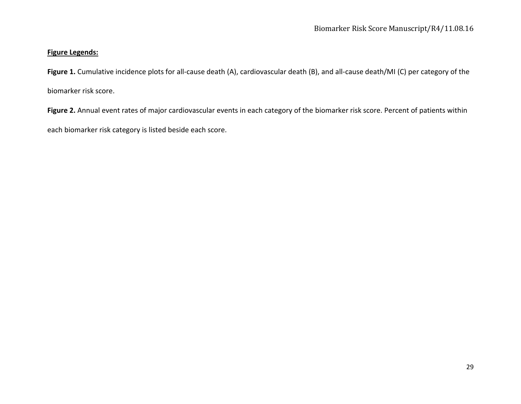### **Figure Legends:**

Figure 1. Cumulative incidence plots for all-cause death (A), cardiovascular death (B), and all-cause death/MI (C) per category of the

biomarker risk score.

Figure 2. Annual event rates of major cardiovascular events in each category of the biomarker risk score. Percent of patients within

each biomarker risk category is listed beside each score.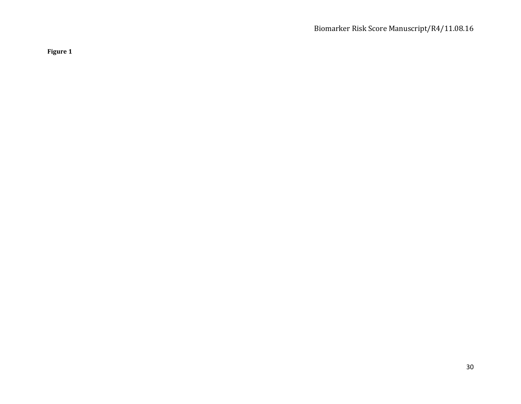Biomarker Risk Score Manuscript/R4/11.08.16

**Figure 1**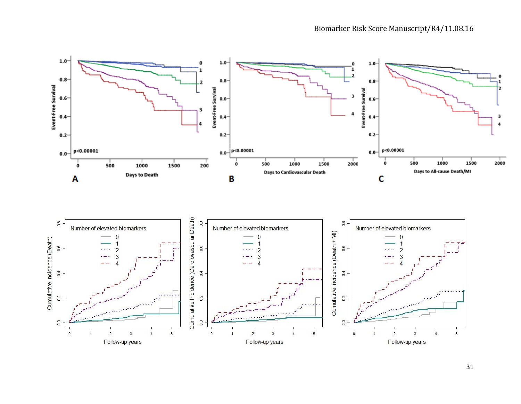